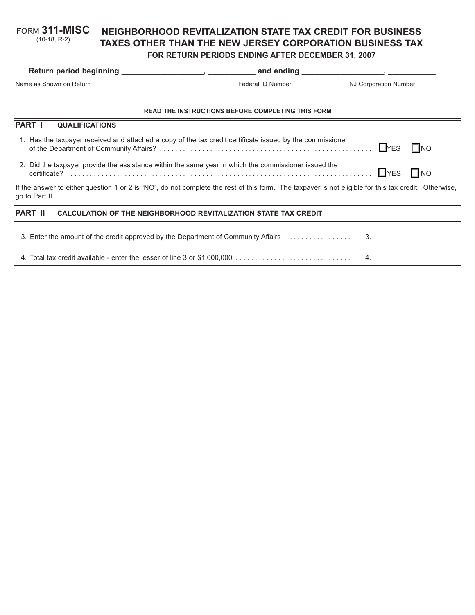#### **NEIGHBORHOOD REVITALIZATION STATE TAX CREDIT FOR BUSINESS TAXES OTHER THAN THE NEW JERSEY CORPORATION BUSINESS TAX FOR RETURN PERIODS ENDING AFTER DECEMBER 31, 2007** FORM **311-MISC** (10-18, R-2)

|                                                                                                                                                                        | and ending        | $\overline{\phantom{a}}$ , and the contract of $\overline{\phantom{a}}$ , and $\overline{\phantom{a}}$ , and $\overline{\phantom{a}}$ |
|------------------------------------------------------------------------------------------------------------------------------------------------------------------------|-------------------|---------------------------------------------------------------------------------------------------------------------------------------|
| Name as Shown on Return                                                                                                                                                | Federal ID Number | <b>NJ Corporation Number</b>                                                                                                          |
|                                                                                                                                                                        |                   |                                                                                                                                       |
| <b>READ THE INSTRUCTIONS BEFORE COMPLETING THIS FORM</b>                                                                                                               |                   |                                                                                                                                       |
| <b>PART I</b><br><b>QUALIFICATIONS</b>                                                                                                                                 |                   |                                                                                                                                       |
| 1. Has the taxpayer received and attached a copy of the tax credit certificate issued by the commissioner<br>$L$ <sub>res</sub><br>$\Box$ NO                           |                   |                                                                                                                                       |
| 2. Did the taxpayer provide the assistance within the same year in which the commissioner issued the<br>$\Box$ YES<br>$\Box$ NO                                        |                   |                                                                                                                                       |
| If the answer to either question 1 or 2 is "NO", do not complete the rest of this form. The taxpayer is not eligible for this tax credit. Otherwise,<br>go to Part II. |                   |                                                                                                                                       |
| <b>PART II</b><br><b>CALCULATION OF THE NEIGHBORHOOD REVITALIZATION STATE TAX CREDIT</b>                                                                               |                   |                                                                                                                                       |
| 3. Enter the amount of the credit approved by the Department of Community Affairs                                                                                      |                   | 3.                                                                                                                                    |

4. Total tax credit available - enter the lesser of line 3 or \$1,000,000 . . . . . . . . . . . . . . . . . . . . . . . . . . . . . . . 4.